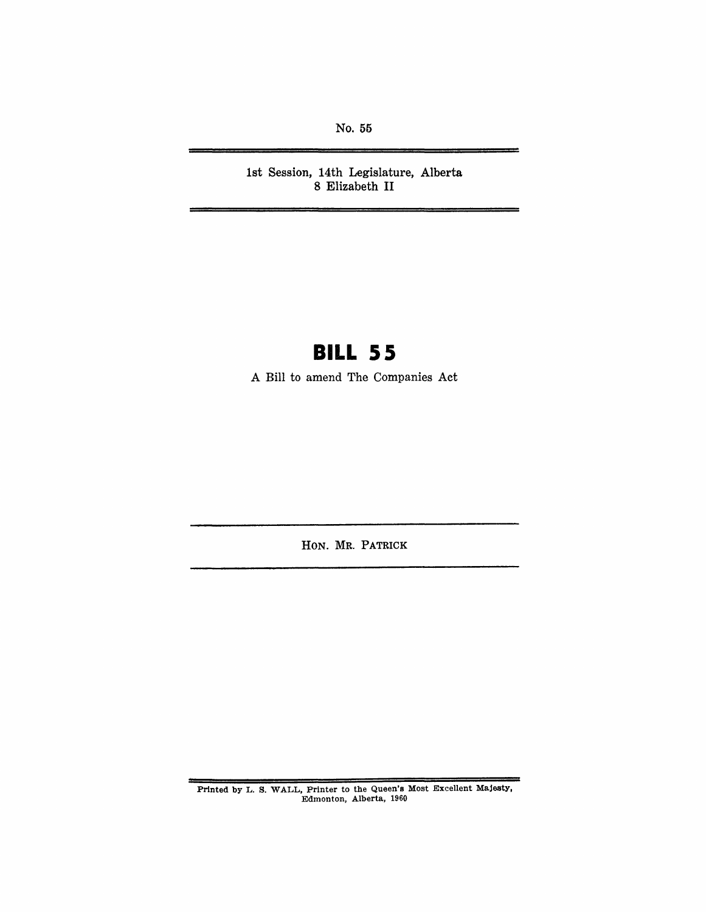No. 55

1st Session, 14th Legislature, Alberta 8 Elizabeth **II** 

## **BILL 55**

A Bill to amend The Companies Act

HON. MR. PATRICK

Printed by L. S. WALL, Printer to the Queen's Most Excellent Majesty, Edmonton, Alberta, 1960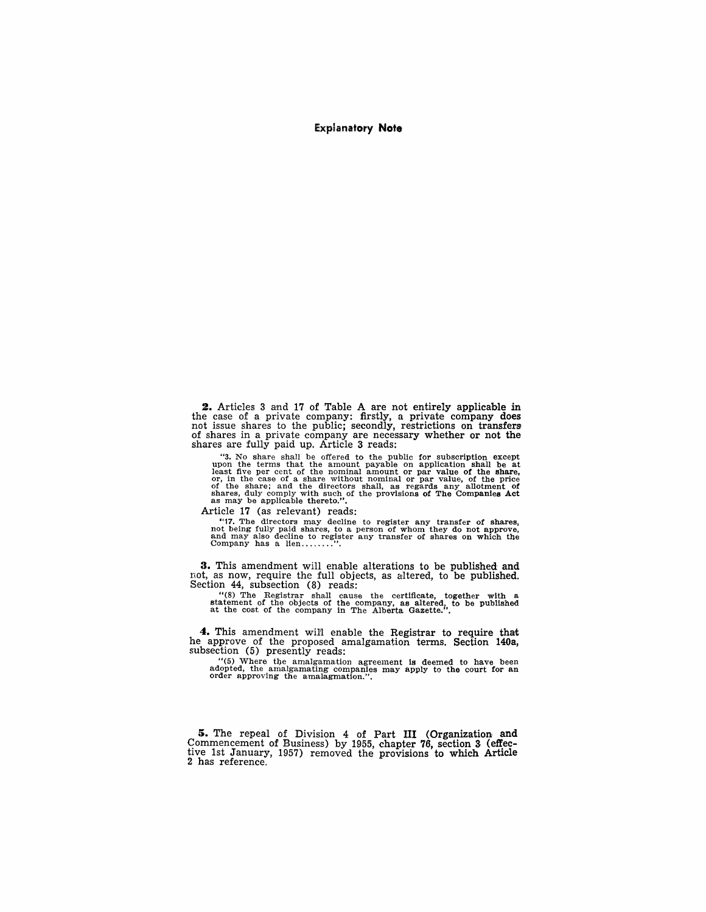Explanatory **Note** 

2. Articles 3 and 17 of Table A are not entirely applicable in the case of a private company: firstly, a private company does not issue shares to the public; secondly, restrictions on transfers of shares in a private company are necessary whether or not the shares are fully paid up. Article 3 reads:

"3. No share shall be offered to the public for subscription except upon the terms that the amount payable on application shall be at least five per cent of the nominal amount or par value of the share, or, in the case of shares, duly comply with such of the provisions of The Companies Act as may be applicable thereto.".

Article 17 (as relevant) reads:

"17. The directors may decline to register any transfer of shares, not being fully paid shares, to a person of whom they do not approve, and may also decline to register any transfer of shares on which the Company has a l

3. This amendment will enable alterations to be published and not, as now, require the full objects, as aItered, to be published. Section 44, subsection (8) reads:

 $\begin{array}{lllllllllll}\n \text{``(8) The Register shall cause the certificate, together with a statement of the objects of the company, as altered, to be published at the cost of the company in The Alberta Gazette." \end{array}$ 

4. This amendment wiJ!1 enable the Registrar to require that he approve of the proposed amalgamation terms. Section 140a, subsection (5) presently reads:

"(5) Where Uie amalgamation agreement is deemed to have been adopted, the amalgamating companies may apply to the court for an order approving the amalagmation.".

5. The repeal of Division 4 of Part III (Organization and Commencement of Business) by 1955, chapter 76, section 3 (effective 1st January, 1957) removed the provisions to which Article 2 has reference.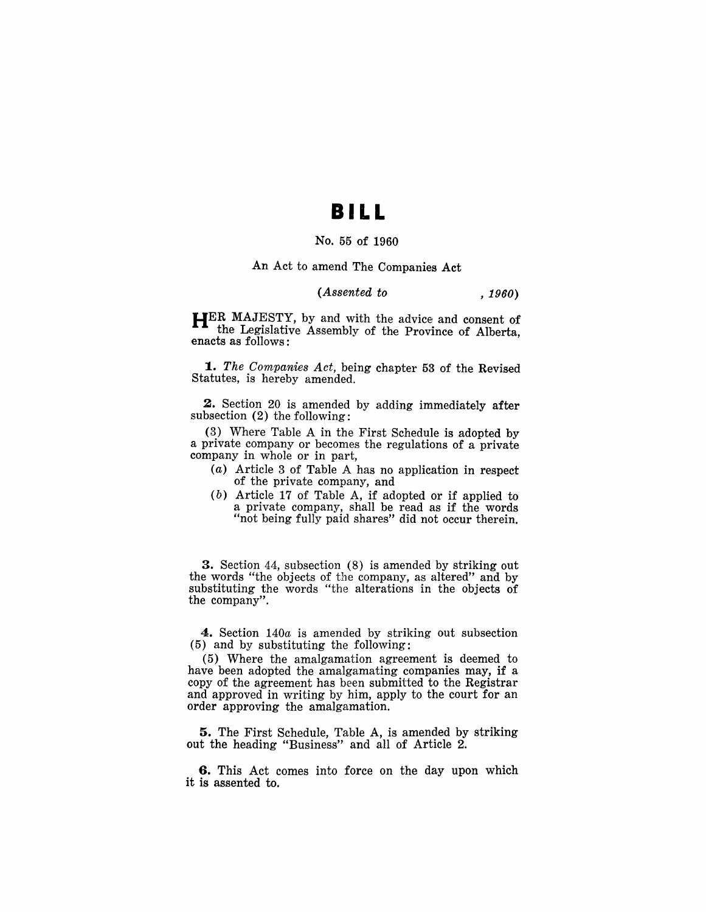### **BI LL**

#### No. 55 of 1960

An Act to amend The Companies Act

#### *(Assented to , 1960)*

HER MAJESTY, by and with the advice and consent of the Legislative Assembly of the Province of Alberta, enacts as follows:

*1. The Companies Act,* being chapter 53 of the Revised Statutes, is hereby amended.

2. Section 20 is amended by adding immediately after subsection (2) the following:

(3) Where Table A in the First Schedule is adopted by a private company or becomes the regulations of a private company in whole or in part,

- (a) Article 3 of Table A has no application in respect of the private company, and
- $(b)$  Article 17 of Table A, if adopted or if applied to a private company, shall be read as if the words "not being fully paid shares" did not occur therein.

3. Section 44, subsection (8) is amended by striking out the words "the objects of the company, as altered" and by substituting the words "the alterations in the objects of the company".

4. Section *140a* is amended by striking out subsection (5) and by substituting the following:

(5) Where the amalgamation agreement is deemed to have been adopted the amalgamating companies may, if a copy of the agreement has been submitted to the Registrar and approved in writing by him, apply to the court for an order approving the amalgamation.

5. The First Schedule, Table A, is amended by striking out the heading "Business" and all of Article 2.

6. This Act comes into force on the day upon which it is assented to.